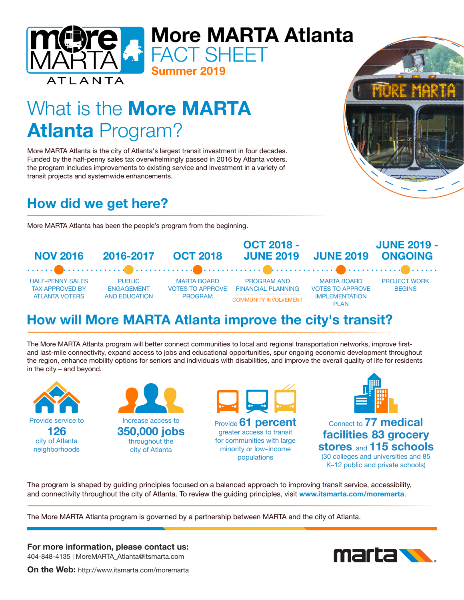

# What is the **More MARTA** Atlanta Program?

More MARTA Atlanta is the city of Atlanta's largest transit investment in four decades. Funded by the half-penny sales tax overwhelmingly passed in 2016 by Atlanta voters, the program includes improvements to existing service and investment in a variety of transit projects and systemwide enhancements.

Summer 2019

FACT SHEET

# How did we get here?

More MARTA Atlanta has been the people's program from the beginning.

OCT 2018 - JUNE 2019 - NOV 2016 2016-2017 OCT 2018 JUNE 2019 ONGOING JUNE 2019 . . . . . . **. .** . . . . . . . . . . . . . . . . . . . HALF-PENNY SALES PUBLIC MARTA BOARD PROGRAM AND MARTA BOARD PROJECT WORK TAX APPROVED BY ENGAGEMENT VOTES TO APPROVE FINANCIAL PLANNING VOTES TO APPROVE **BEGINS** ATLANTA VOTERS AND EDUCATION PROGRAMIMPLEMENTATION COMMUNITY INVOLVEMENT PLAN

### How will More MARTA Atlanta improve the city's transit?

The More MARTA Atlanta program will better connect communities to local and regional transportation networks, improve firstand last-mile connectivity, expand access to jobs and educational opportunities, spur ongoing economic development throughout the region, enhance mobility options for seniors and individuals with disabilities, and improve the overall quality of life for residents in the city – and beyond.

Provide service to 126 city of Atlanta neighborhoods





greater access to transit for communities with large minority or low–income populations



Connect to 77 medical facilities, 83 grocery stores, and 115 schools (30 colleges and universities and 85

K–12 public and private schools)

The program is shaped by guiding principles focused on a balanced approach to improving transit service, accessibility, and connectivity throughout the city of Atlanta. To review the guiding principles, visit www.itsmarta.com/moremarta.

The More MARTA Atlanta program is governed by a partnership between MARTA and the city of Atlanta.

For more information, please contact us: 404-848-4135 | MoreMARTA\_Atlanta@itsmarta.com



On the Web: http://www.itsmarta.com/moremarta